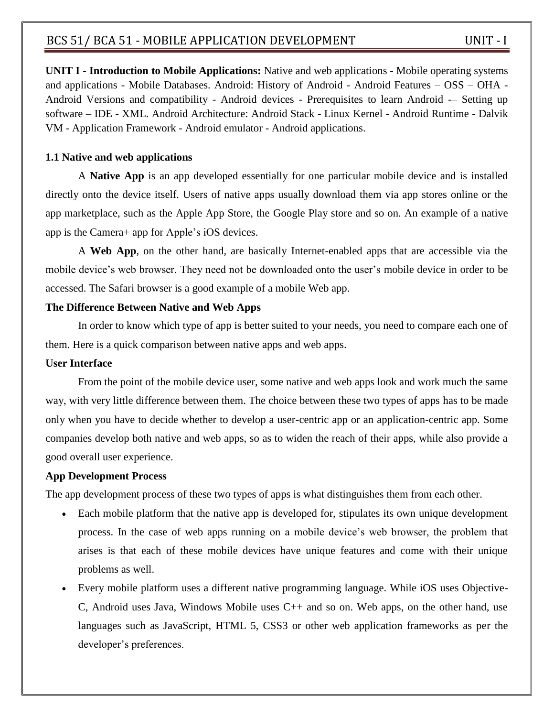**UNIT I - Introduction to Mobile Applications:** Native and web applications - Mobile operating systems and applications - Mobile Databases. Android: History of Android - Android Features – OSS – OHA - Android Versions and compatibility - Android devices - Prerequisites to learn Android -– Setting up software – IDE - XML. Android Architecture: Android Stack - Linux Kernel - Android Runtime - Dalvik VM - Application Framework - Android emulator - Android applications.

#### **1.1 Native and web applications**

A **Native App** is an app developed essentially for one particular mobile device and is installed directly onto the device itself. Users of native apps usually download them via app stores online or the app marketplace, such as the Apple App Store, the [Google Play store](https://www.lifewire.com/what-is-google-play-1616720) and so on. An example of a native app is the Camera+ app for [Apple's iOS](https://www.lifewire.com/what-is-ios-1994355) devices.

A **Web App**, on the other hand, are basically Internet-enabled apps that are accessible via the mobile device's web browser. They need not be downloaded onto the user's [mobile device](https://www.lifewire.com/what-is-a-mobile-device-2373355) in order to be accessed. The Safari browser is a good example of a mobile Web app.

#### **The Difference Between Native and Web Apps**

In order to know which type of app is better suited to your needs, you need to compare each one of them. Here is a quick comparison between native apps and web apps.

#### **User Interface**

From the point of the [mobile device user,](https://www.lifewire.com/essential-elements-for-a-top-selling-mobile-app-2373497) some native and web apps look and work much the same way, with very little difference between them. The choice between these two types of apps has to be made only when you have to decide whether to develop a user-centric app or an application-centric app. Some companies develop both native and web apps, so as to widen the reach of their apps, while also provide a good overall user experience.

#### **App Development Process**

The app development process of these two types of apps is what distinguishes them from each other.

- Each mobile platform that the native app is developed for, stipulates its own unique development process. In the case of web apps running on a mobile device's web browser, the problem that arises is that each of these mobile devices have unique features and come with their unique problems as well.
- [Every mobile platform](https://www.lifewire.com/what-is-a-mobile-operating-system-2373340) uses a different native programming language. While iOS uses Objective-C, Android uses Java, Windows Mobile uses C++ and so on. Web apps, on the other hand, use languages such as JavaScript, HTML 5, CSS3 or other web application frameworks as per the developer's preferences.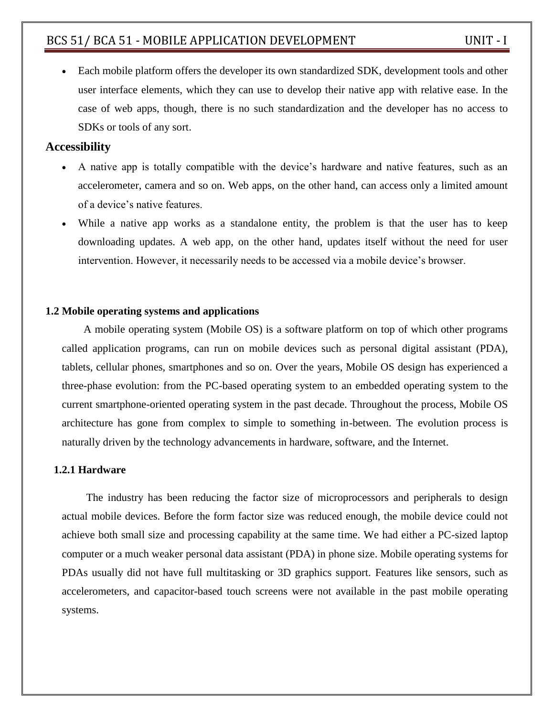Each mobile platform offers the developer its own standardized SDK, development tools and other user interface elements, which they can use to develop their native app with relative ease. In the case of web apps, though, there is no such standardization and the developer has no access to SDKs or tools of any sort.

#### **Accessibility**

- A native app is totally compatible with the device's hardware and native features, such as an accelerometer, camera and so on. Web apps, on the other hand, can access only a limited amount of a device's native features.
- While a native app works as a standalone entity, the problem is that the user has to keep downloading updates. A web app, on the other hand, updates itself without the need for user intervention. However, it necessarily needs to be accessed via a mobile device's browser.

#### **1.2 Mobile operating systems and applications**

 A mobile operating system (Mobile OS) is a software platform on top of which other programs called application programs, can run on mobile devices such as personal digital assistant (PDA), tablets, cellular phones, smartphones and so on. Over the years, Mobile OS design has experienced a three-phase evolution: from the PC-based operating system to an embedded operating system to the current smartphone-oriented operating system in the past decade. Throughout the process, Mobile OS architecture has gone from complex to simple to something in-between. The evolution process is naturally driven by the technology advancements in hardware, software, and the Internet.

#### **1.2.1 Hardware**

 The industry has been reducing the factor size of microprocessors and peripherals to design actual mobile devices. Before the form factor size was reduced enough, the mobile device could not achieve both small size and processing capability at the same time. We had either a PC-sized laptop computer or a much weaker personal data assistant (PDA) in phone size. Mobile operating systems for PDAs usually did not have full multitasking or 3D graphics support. Features like sensors, such as accelerometers, and capacitor-based touch screens were not available in the past mobile operating systems.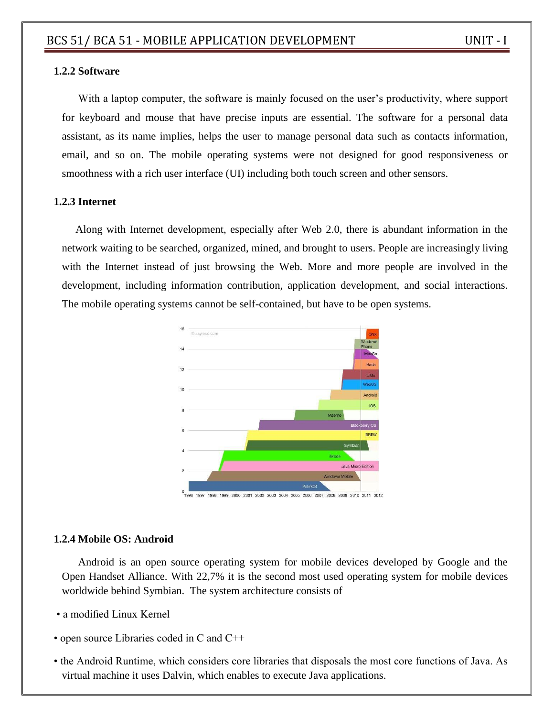#### **1.2.2 Software**

With a laptop computer, the software is mainly focused on the user's productivity, where support for keyboard and mouse that have precise inputs are essential. The software for a personal data assistant, as its name implies, helps the user to manage personal data such as contacts information, email, and so on. The mobile operating systems were not designed for good responsiveness or smoothness with a rich user interface (UI) including both touch screen and other sensors.

#### **1.2.3 Internet**

 Along with Internet development, especially after Web 2.0, there is abundant information in the network waiting to be searched, organized, mined, and brought to users. People are increasingly living with the Internet instead of just browsing the Web. More and more people are involved in the development, including information contribution, application development, and social interactions. The mobile operating systems cannot be self-contained, but have to be open systems.



#### **1.2.4 Mobile OS: Android**

Android is an open source operating system for mobile devices developed by Google and the Open Handset Alliance. With 22,7% it is the second most used operating system for mobile devices worldwide behind Symbian. The system architecture consists of

- a modified Linux Kernel
- open source Libraries coded in C and C++
- the Android Runtime, which considers core libraries that disposals the most core functions of Java. As virtual machine it uses Dalvin, which enables to execute Java applications.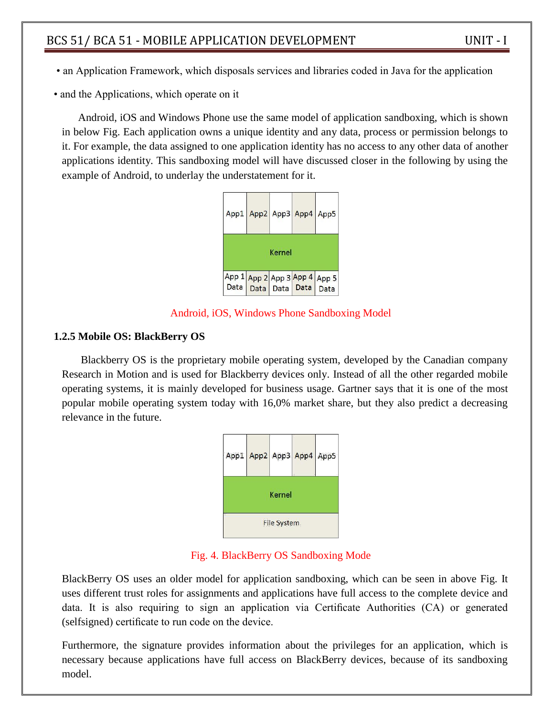- an Application Framework, which disposals services and libraries coded in Java for the application
- and the Applications, which operate on it

Android, iOS and Windows Phone use the same model of application sandboxing, which is shown in below Fig. Each application owns a unique identity and any data, process or permission belongs to it. For example, the data assigned to one application identity has no access to any other data of another applications identity. This sandboxing model will have discussed closer in the following by using the example of Android, to underlay the understatement for it.



Android, iOS, Windows Phone Sandboxing Model

#### **1.2.5 Mobile OS: BlackBerry OS**

Blackberry OS is the proprietary mobile operating system, developed by the Canadian company Research in Motion and is used for Blackberry devices only. Instead of all the other regarded mobile operating systems, it is mainly developed for business usage. Gartner says that it is one of the most popular mobile operating system today with 16,0% market share, but they also predict a decreasing relevance in the future.



Fig. 4. BlackBerry OS Sandboxing Mode

BlackBerry OS uses an older model for application sandboxing, which can be seen in above Fig. It uses different trust roles for assignments and applications have full access to the complete device and data. It is also requiring to sign an application via Certificate Authorities (CA) or generated (selfsigned) certificate to run code on the device.

Furthermore, the signature provides information about the privileges for an application, which is necessary because applications have full access on BlackBerry devices, because of its sandboxing model.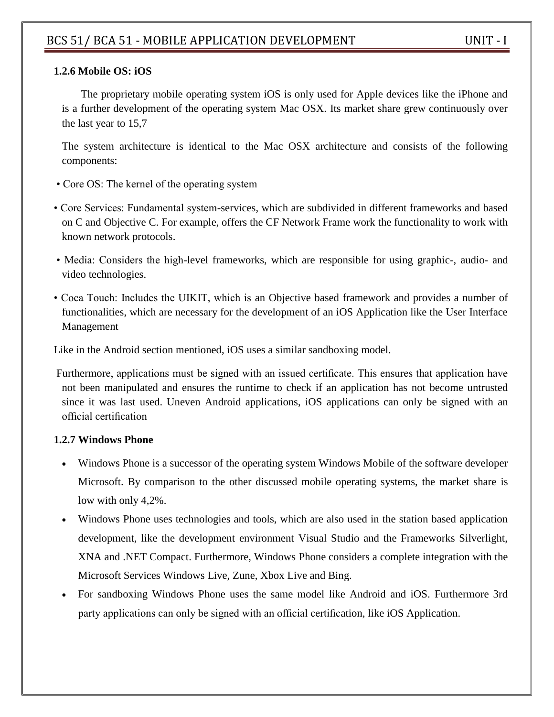#### **1.2.6 Mobile OS: iOS**

The proprietary mobile operating system iOS is only used for Apple devices like the iPhone and is a further development of the operating system Mac OSX. Its market share grew continuously over the last year to 15,7

The system architecture is identical to the Mac OSX architecture and consists of the following components:

- Core OS: The kernel of the operating system
- Core Services: Fundamental system-services, which are subdivided in different frameworks and based on C and Objective C. For example, offers the CF Network Frame work the functionality to work with known network protocols.
- Media: Considers the high-level frameworks, which are responsible for using graphic-, audio- and video technologies.
- Coca Touch: Includes the UIKIT, which is an Objective based framework and provides a number of functionalities, which are necessary for the development of an iOS Application like the User Interface Management

Like in the Android section mentioned, iOS uses a similar sandboxing model.

Furthermore, applications must be signed with an issued certificate. This ensures that application have not been manipulated and ensures the runtime to check if an application has not become untrusted since it was last used. Uneven Android applications, iOS applications can only be signed with an official certification

#### **1.2.7 Windows Phone**

- Windows Phone is a successor of the operating system Windows Mobile of the software developer Microsoft. By comparison to the other discussed mobile operating systems, the market share is low with only 4,2%.
- Windows Phone uses technologies and tools, which are also used in the station based application development, like the development environment Visual Studio and the Frameworks Silverlight, XNA and .NET Compact. Furthermore, Windows Phone considers a complete integration with the Microsoft Services Windows Live, Zune, Xbox Live and Bing.
- For sandboxing Windows Phone uses the same model like Android and iOS. Furthermore 3rd party applications can only be signed with an official certification, like iOS Application.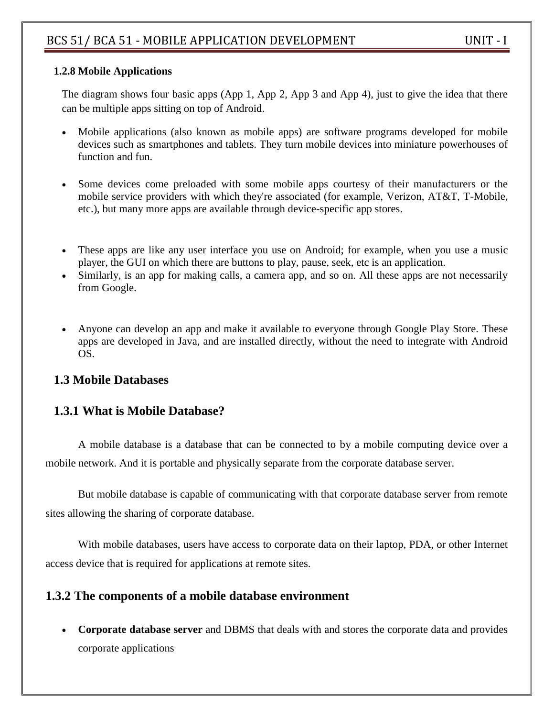## **1.2.8 Mobile Applications**

The diagram shows four basic apps (App 1, App 2, App 3 and App 4), just to give the idea that there can be multiple apps sitting on top of Android.

- Mobile applications (also known as mobile apps) are software programs developed for mobile devices such as [smartphones](https://www.lifewire.com/best-smartphones-4043781) and [tablets.](https://www.lifewire.com/best-android-tablets-4047805) They turn mobile devices into miniature powerhouses of function and fun.
- Some devices come preloaded with some mobile apps courtesy of their manufacturers or the mobile [service providers](https://www.lifewire.com/how-does-a-mobile-network-work-2373338) with which they're associated (for example, Verizon, AT&T, T-Mobile, etc.), but many more apps are available through device-specific app stores.
- These apps are like any user interface you use on Android; for example, when you use a music player, the GUI on which there are buttons to play, pause, seek, etc is an application.
- Similarly, is an app for making calls, a camera app, and so on. All these apps are not necessarily from Google.
- Anyone can develop an app and make it available to everyone through Google Play Store. These apps are developed in Java, and are installed directly, without the need to integrate with Android OS.

# **1.3 Mobile Databases**

# **1.3.1 What is Mobile Database?**

A mobile database is a database that can be connected to by a mobile computing device over a mobile network. And it is portable and physically separate from the corporate database server.

But mobile database is capable of communicating with that corporate database server from remote sites allowing the sharing of corporate database.

With mobile databases, users have access to corporate data on their laptop, PDA, or other Internet access device that is required for applications at remote sites.

# **1.3.2 The components of a mobile database environment**

 **Corporate database server** and DBMS that deals with and stores the corporate data and provides corporate applications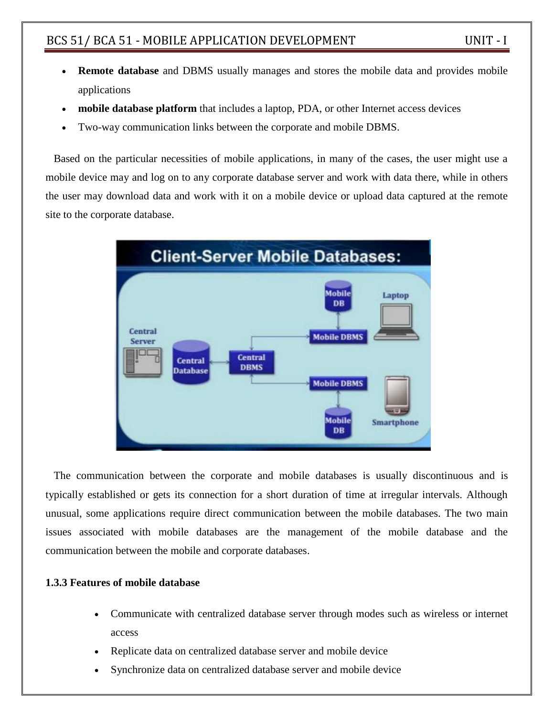- **Remote database** and DBMS usually manages and stores the mobile data and provides mobile applications
- **mobile database platform** that includes a laptop, PDA, or other Internet access devices
- Two-way communication links between the corporate and mobile DBMS.

Based on the particular necessities of mobile applications, in many of the cases, the user might use a mobile device may and log on to any corporate database server and work with data there, while in others the user may download data and work with it on a mobile device or upload data captured at the remote site to the corporate database.



The communication between the corporate and mobile databases is usually discontinuous and is typically established or gets its connection for a short duration of time at irregular intervals. Although unusual, some applications require direct communication between the mobile databases. The two main issues associated with mobile databases are the management of the mobile database and the communication between the mobile and corporate databases.

#### **1.3.3 Features of mobile database**

- Communicate with centralized database server through modes such as wireless or internet access
- Replicate data on centralized database server and mobile device
- Synchronize data on centralized database server and mobile device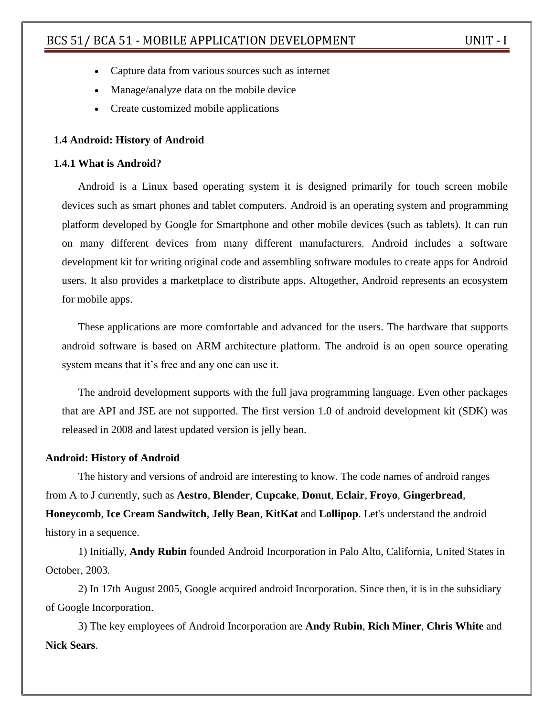- Capture data from various sources such as internet
- Manage/analyze data on the mobile device
- Create customized mobile applications

#### **1.4 Android: History of Android**

#### **1.4.1 What is Android?**

Android is a Linux based operating system it is designed primarily for touch screen mobile devices such as smart phones and tablet computers. Android is an operating system and programming platform developed by Google for Smartphone and other mobile devices (such as tablets). It can run on many different devices from many different manufacturers. Android includes a software development kit for writing original code and assembling software modules to create apps for Android users. It also provides a marketplace to distribute apps. Altogether, Android represents an ecosystem for mobile apps.

These applications are more comfortable and advanced for the users. The hardware that supports android software is based on ARM architecture platform. The android is an open source operating system means that it's free and any one can use it.

The android development supports with the full java programming language. Even other packages that are API and JSE are not supported. The first version 1.0 of android development kit (SDK) was released in 2008 and latest updated version is jelly bean.

#### **Android: History of Android**

The history and versions of android are interesting to know. The code names of android ranges from A to J currently, such as **Aestro**, **Blender**, **Cupcake**, **Donut**, **Eclair**, **Froyo**, **Gingerbread**, **Honeycomb**, **Ice Cream Sandwitch**, **Jelly Bean**, **KitKat** and **Lollipop**. Let's understand the android history in a sequence.

1) Initially, **Andy Rubin** founded Android Incorporation in Palo Alto, California, United States in October, 2003.

2) In 17th August 2005, Google acquired android Incorporation. Since then, it is in the subsidiary of Google Incorporation.

3) The key employees of Android Incorporation are **Andy Rubin**, **Rich Miner**, **Chris White** and **Nick Sears**.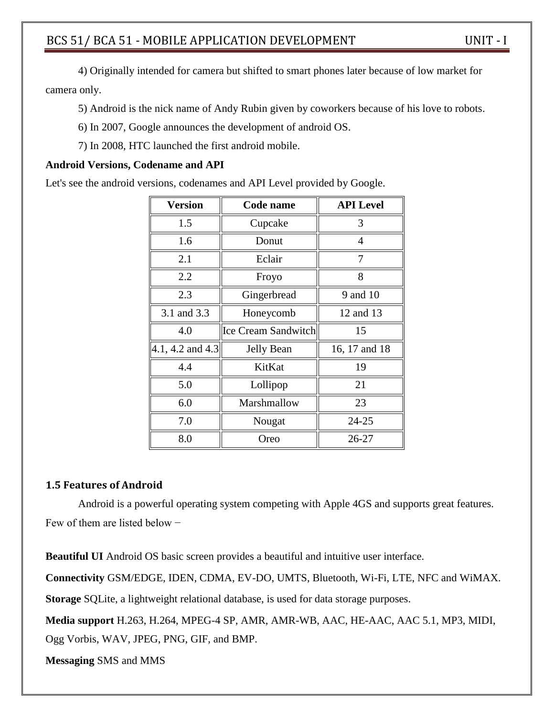4) Originally intended for camera but shifted to smart phones later because of low market for camera only.

5) Android is the nick name of Andy Rubin given by coworkers because of his love to robots.

- 6) In 2007, Google announces the development of android OS.
- 7) In 2008, HTC launched the first android mobile.

#### **Android Versions, Codename and API**

Let's see the android versions, codenames and API Level provided by Google.

| <b>Version</b>   | Code name                  | <b>API</b> Level |
|------------------|----------------------------|------------------|
| 1.5              | Cupcake                    | 3                |
| 1.6              | Donut                      | 4                |
| 2.1              | Eclair                     | 7                |
| 2.2              | Froyo                      | 8                |
| 2.3              | Gingerbread                | 9 and 10         |
| 3.1 and 3.3      | Honeycomb                  | 12 and 13        |
| 4.0              | <b>Ice Cream Sandwitch</b> | 15               |
| 4.1, 4.2 and 4.3 | <b>Jelly Bean</b>          | 16, 17 and 18    |
| 4.4              | KitKat                     | 19               |
| 5.0              | Lollipop                   | 21               |
| 6.0              | Marshmallow                | 23               |
| 7.0              | Nougat                     | 24-25            |
| 8.0              | Oreo                       | 26-27            |

#### **1.5 Features of Android**

Android is a powerful operating system competing with Apple 4GS and supports great features. Few of them are listed below −

**Beautiful UI** Android OS basic screen provides a beautiful and intuitive user interface.

**Connectivity** GSM/EDGE, IDEN, CDMA, EV-DO, UMTS, Bluetooth, Wi-Fi, LTE, NFC and WiMAX.

**Storage** SQLite, a lightweight relational database, is used for data storage purposes.

**Media support** H.263, H.264, MPEG-4 SP, AMR, AMR-WB, AAC, HE-AAC, AAC 5.1, MP3, MIDI, Ogg Vorbis, WAV, JPEG, PNG, GIF, and BMP.

**Messaging** SMS and MMS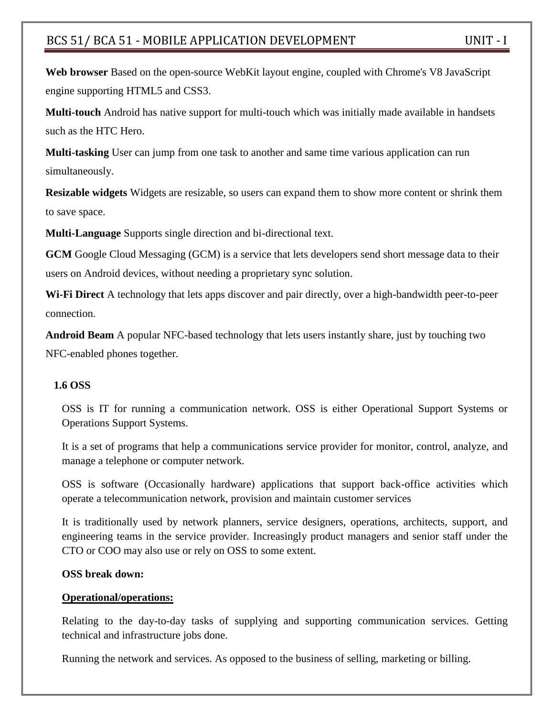**Web browser** Based on the open-source WebKit layout engine, coupled with Chrome's V8 JavaScript engine supporting HTML5 and CSS3.

**Multi-touch** Android has native support for multi-touch which was initially made available in handsets such as the HTC Hero.

**Multi-tasking** User can jump from one task to another and same time various application can run simultaneously.

**Resizable widgets** Widgets are resizable, so users can expand them to show more content or shrink them to save space.

**Multi-Language** Supports single direction and bi-directional text.

**GCM** Google Cloud Messaging (GCM) is a service that lets developers send short message data to their users on Android devices, without needing a proprietary sync solution.

**Wi-Fi Direct** A technology that lets apps discover and pair directly, over a high-bandwidth peer-to-peer connection.

**Android Beam** A popular NFC-based technology that lets users instantly share, just by touching two NFC-enabled phones together.

#### **1.6 OSS**

OSS is IT for running a communication network. OSS is either Operational Support Systems or Operations Support Systems.

It is a set of programs that help a communications service provider for monitor, control, analyze, and manage a telephone or computer network.

OSS is software (Occasionally hardware) applications that support back-office activities which operate a telecommunication network, provision and maintain customer services

It is traditionally used by network planners, service designers, operations, architects, support, and engineering teams in the service provider. Increasingly product managers and senior staff under the CTO or COO may also use or rely on OSS to some extent.

#### **OSS break down:**

#### **Operational/operations:**

Relating to the day-to-day tasks of supplying and supporting communication services. Getting technical and infrastructure jobs done.

Running the network and services. As opposed to the business of selling, marketing or billing.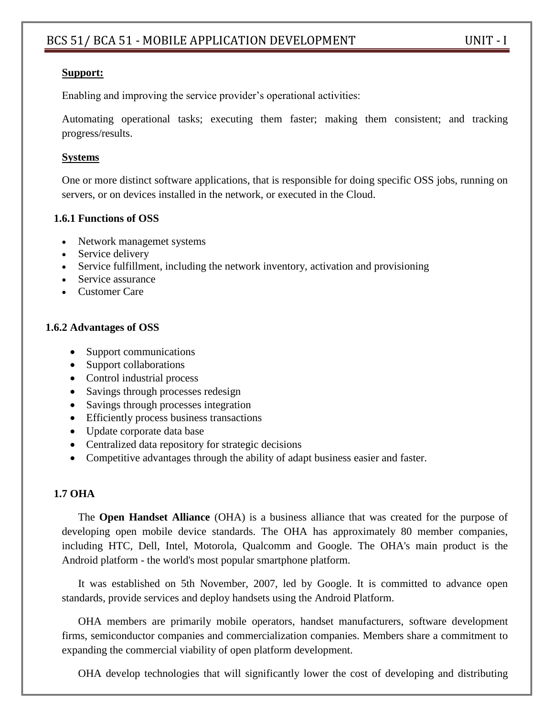## **Support:**

Enabling and improving the service provider's operational activities:

Automating operational tasks; executing them faster; making them consistent; and tracking progress/results.

## **Systems**

One or more distinct software applications, that is responsible for doing specific OSS jobs, running on servers, or on devices installed in the network, or executed in the Cloud.

## **1.6.1 Functions of OSS**

- Network managemet systems
- Service delivery
- Service fulfillment, including the network inventory, activation and provisioning
- Service assurance
- Customer Care

## **1.6.2 Advantages of OSS**

- Support communications
- Support collaborations
- Control industrial process
- Savings through processes redesign
- Savings through processes integration
- Efficiently process business transactions
- Update corporate data base
- Centralized data repository for strategic decisions
- Competitive advantages through the ability of adapt business easier and faster.

## **1.7 OHA**

The **Open Handset Alliance** (OHA) is a business alliance that was created for the purpose of developing open mobile device standards. The OHA has approximately 80 member companies, including HTC, Dell, Intel, Motorola, Qualcomm and Google. The OHA's main product is the Android platform - the world's most popular smartphone platform.

It was established on 5th November, 2007, led by Google. It is committed to advance open standards, provide services and deploy handsets using the Android Platform.

OHA members are primarily mobile operators, handset manufacturers, software development firms, semiconductor companies and commercialization companies. Members share a commitment to expanding the commercial viability of open platform development.

OHA develop technologies that will significantly lower the cost of developing and distributing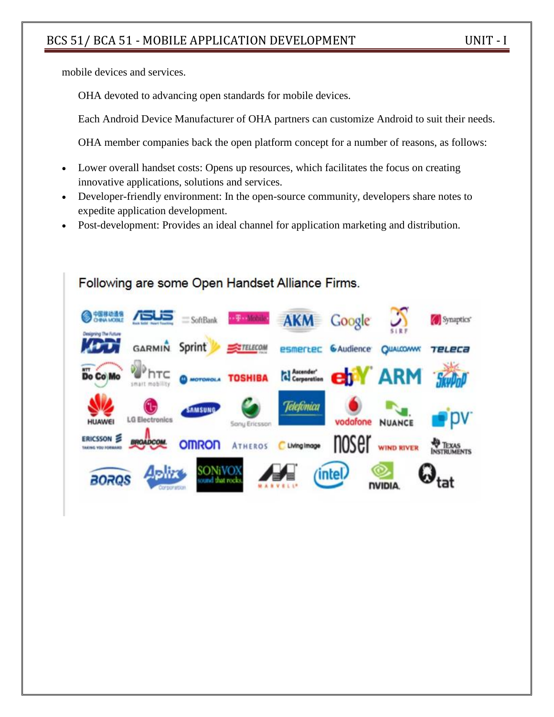mobile devices and services.

OHA devoted to advancing open standards for mobile devices.

Each Android Device Manufacturer of OHA partners can customize Android to suit their needs.

OHA member companies back the open platform concept for a number of reasons, as follows:

- Lower overall handset costs: Opens up resources, which facilitates the focus on creating innovative applications, solutions and services.
- Developer-friendly environment: In the open-source community, developers share notes to expedite application development.
- Post-development: Provides an ideal channel for application marketing and distribution.

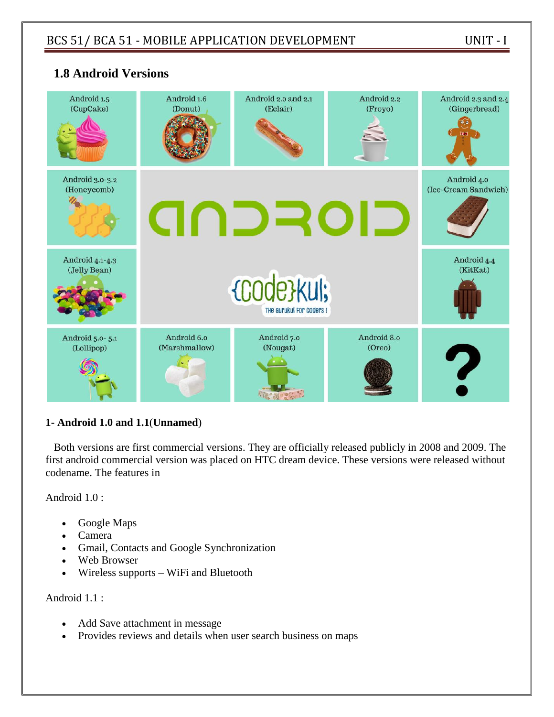

# **1.8 Android Versions**

#### **1- Android 1.0 and 1.1**(**Unnamed**)

Both versions are first commercial versions. They are officially released publicly in 2008 and 2009. The first android commercial version was placed on HTC dream device. These versions were released without codename. The features in

Android 1.0 :

- Google Maps
- Camera
- Gmail, Contacts and Google Synchronization
- Web Browser
- Wireless supports WiFi and Bluetooth

Android 1.1 :

- Add Save attachment in message
- Provides reviews and details when user search business on maps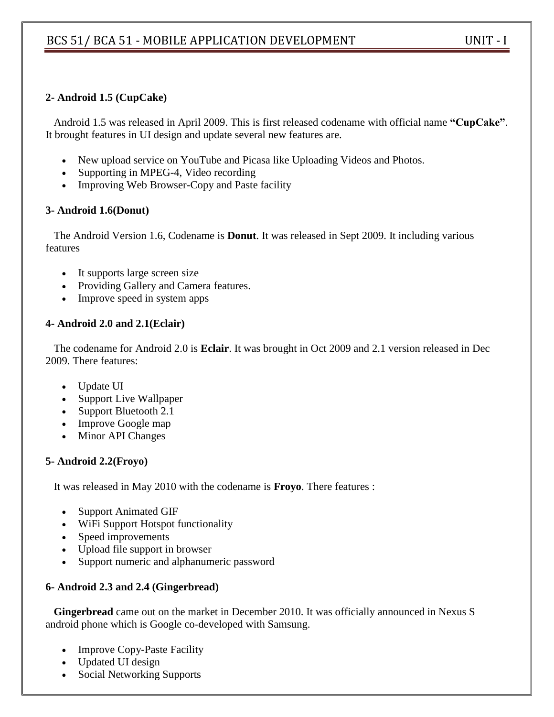## **2- Android 1.5 (CupCake)**

Android 1.5 was released in April 2009. This is first released codename with official name **"CupCake"**. It brought features in UI design and update several new features are.

- New upload service on YouTube and Picasa like Uploading Videos and Photos.
- Supporting in MPEG-4, Video recording
- Improving Web Browser-Copy and Paste facility

## **3- Android 1.6(Donut)**

The Android Version 1.6, Codename is **Donut**. It was released in Sept 2009. It including various features

- It supports large screen size
- Providing Gallery and Camera features.
- Improve speed in system apps

## **4- Android 2.0 and 2.1(Eclair)**

The codename for Android 2.0 is **Eclair**. It was brought in Oct 2009 and 2.1 version released in Dec 2009. There features:

- Update UI
- Support Live Wallpaper
- Support Bluetooth 2.1
- Improve Google map
- Minor API Changes

## **5- Android 2.2(Froyo)**

It was released in May 2010 with the codename is **Froyo**. There features :

- Support Animated GIF
- WiFi Support Hotspot functionality
- Speed improvements
- Upload file support in browser
- Support numeric and alphanumeric password

## **6- Android 2.3 and 2.4 (Gingerbread)**

**Gingerbread** came out on the market in December 2010. It was officially announced in Nexus S android phone which is Google co-developed with Samsung.

- Improve Copy-Paste Facility
- Updated UI design
- Social Networking Supports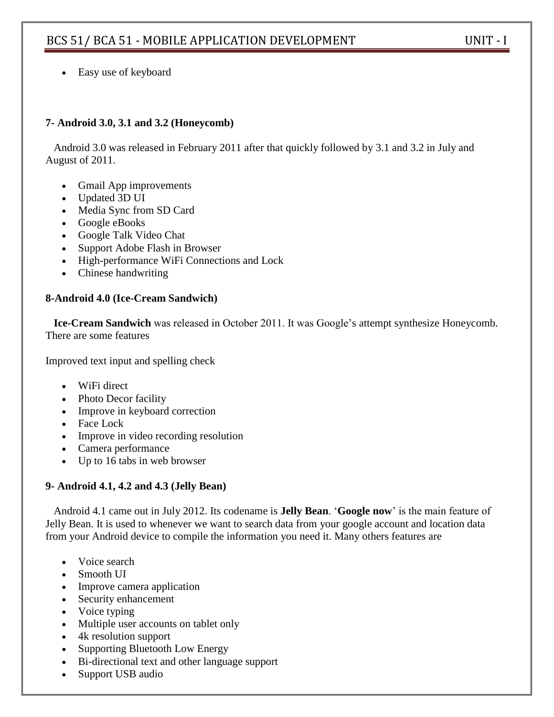Easy use of keyboard

## **7- Android 3.0, 3.1 and 3.2 (Honeycomb)**

Android 3.0 was released in February 2011 after that quickly followed by 3.1 and 3.2 in July and August of 2011.

- Gmail App improvements
- Updated 3D UI
- Media Sync from SD Card
- Google eBooks
- Google Talk Video Chat
- Support Adobe Flash in Browser
- High-performance WiFi Connections and Lock
- Chinese handwriting

#### **8-Android 4.0 (Ice-Cream Sandwich)**

**Ice-Cream Sandwich** was released in October 2011. It was Google's attempt synthesize Honeycomb. There are some features

Improved text input and spelling check

- WiFi direct
- Photo Decor facility
- Improve in keyboard correction
- Face Lock
- Improve in video recording resolution
- Camera performance
- Up to 16 tabs in web browser

#### **9- Android 4.1, 4.2 and 4.3 (Jelly Bean)**

Android 4.1 came out in July 2012. Its codename is **Jelly Bean**. ‗**Google now**' is the main feature of Jelly Bean. It is used to whenever we want to search data from your google account and location data from your Android device to compile the information you need it. Many others features are

- Voice search
- Smooth UI
- Improve camera application
- Security enhancement
- Voice typing
- Multiple user accounts on tablet only
- 4k resolution support
- Supporting Bluetooth Low Energy
- Bi-directional text and other language support
- Support USB audio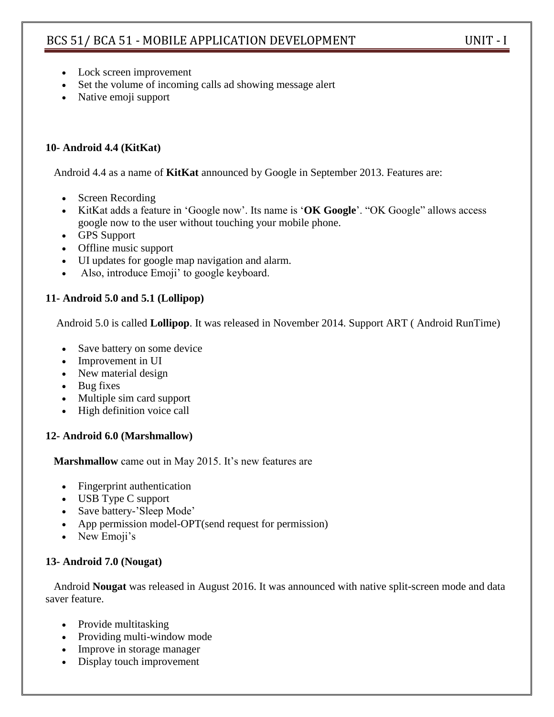- Lock screen improvement
- Set the volume of incoming calls ad showing message alert
- Native emoji support

## **10- Android 4.4 (KitKat)**

Android 4.4 as a name of **KitKat** announced by Google in September 2013. Features are:

- Screen Recording
- KitKat adds a feature in 'Google now'. Its name is 'OK Google'. "OK Google" allows access google now to the user without touching your mobile phone.
- GPS Support
- Offline music support
- UI updates for google map navigation and alarm.
- Also, introduce Emoji' to google keyboard.

## **11- Android 5.0 and 5.1 (Lollipop)**

Android 5.0 is called **Lollipop**. It was released in November 2014. Support ART ( Android RunTime)

- Save battery on some device
- Improvement in UI
- New material design
- Bug fixes
- Multiple sim card support
- High definition voice call

## **12- Android 6.0 (Marshmallow)**

**Marshmallow** came out in May 2015. It's new features are

- Fingerprint authentication
- USB Type C support
- Save battery-'Sleep Mode'
- App permission model-OPT(send request for permission)
- New Emoji's

## **13- Android 7.0 (Nougat)**

Android **Nougat** was released in August 2016. It was announced with native split-screen mode and data saver feature.

- Provide multitasking
- Providing multi-window mode
- Improve in storage manager
- Display touch improvement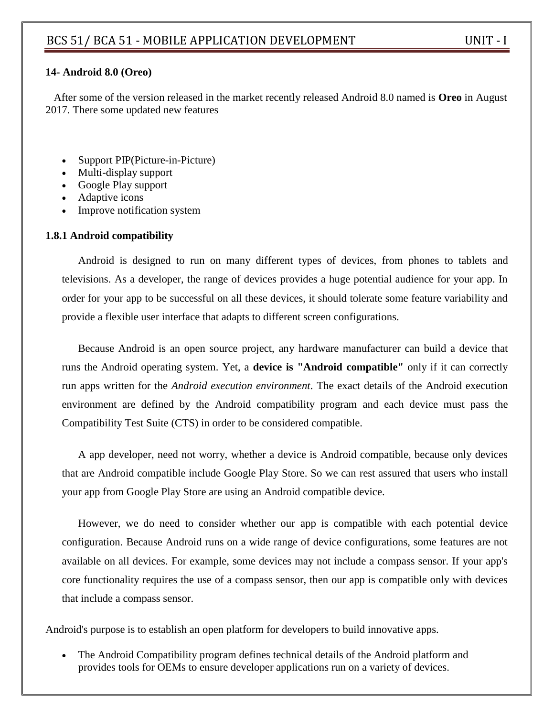#### **14- Android 8.0 (Oreo)**

After some of the version released in the market recently released Android 8.0 named is **Oreo** in August 2017. There some updated new features

- Support PIP(Picture-in-Picture)
- Multi-display support
- Google Play support
- Adaptive icons
- Improve notification system

#### **1.8.1 Android compatibility**

Android is designed to run on many different types of devices, from phones to tablets and televisions. As a developer, the range of devices provides a huge potential audience for your app. In order for your app to be successful on all these devices, it should tolerate some feature variability and provide a flexible user interface that adapts to different screen configurations.

Because Android is an open source project, any hardware manufacturer can build a device that runs the Android operating system. Yet, a **device is "Android compatible"** only if it can correctly run apps written for the *Android execution environment*. The exact details of the Android execution environment are defined by the [Android compatibility program](http://source.android.com/compatibility/overview.html) and each device must pass the Compatibility Test Suite (CTS) in order to be considered compatible.

A app developer, need not worry, whether a device is Android compatible, because only devices that are Android compatible include Google Play Store. So we can rest assured that users who install your app from Google Play Store are using an Android compatible device.

However, we do need to consider whether our app is compatible with each potential device configuration. Because Android runs on a wide range of device configurations, some features are not available on all devices. For example, some devices may not include a compass sensor. If your app's core functionality requires the use of a compass sensor, then our app is compatible only with devices that include a compass sensor.

Android's purpose is to establish an open platform for developers to build innovative apps.

• The Android Compatibility program defines technical details of the Android platform and provides tools for OEMs to ensure developer applications run on a variety of devices.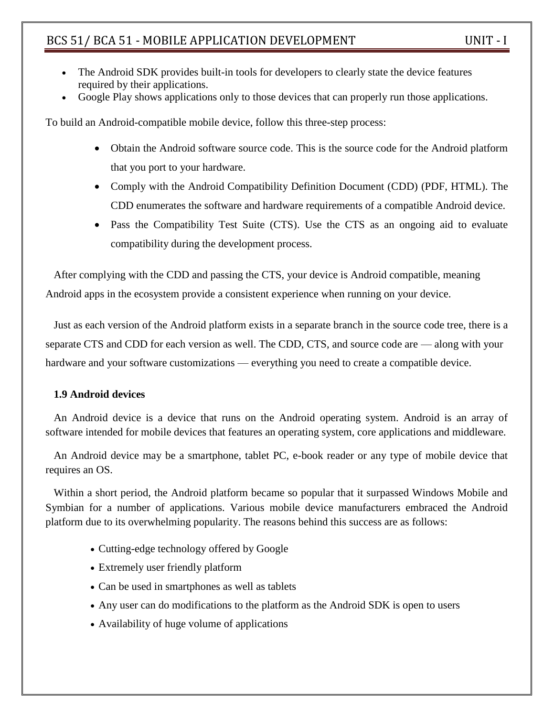- The Android SDK provides built-in tools for developers to clearly state the device features required by their applications.
- Google Play shows applications only to those devices that can properly run those applications.

To build an Android-compatible mobile device, follow this three-step process:

- Obtain the [Android software source code.](https://source.android.com/setup/index.html) This is the source code for the Android platform that you port to your hardware.
- Comply with the Android Compatibility Definition Document (CDD) [\(PDF,](https://source.android.com/compatibility/android-cdd.pdf) [HTML\)](https://source.android.com/compatibility/android-cdd.html). The CDD enumerates the software and hardware requirements of a compatible Android device.
- Pass the [Compatibility Test Suite \(CTS\).](https://source.android.com/compatibility/cts/) Use the CTS as an ongoing aid to evaluate compatibility during the development process.

After complying with the CDD and passing the CTS, your device is Android compatible, meaning Android apps in the ecosystem provide a consistent experience when running on your device.

Just as each version of the Android platform exists in a separate branch in the source code tree, there is a separate CTS and CDD for each version as well. The CDD, CTS, and source code are — along with your hardware and your software customizations — everything you need to create a compatible device.

#### **1.9 Android devices**

An Android device is a device that runs on the Android operating system. Android is an array of software intended for mobile devices that features an operating system, core applications and middleware.

An Android device may be a smartphone, tablet PC, e-book reader or any type of mobile device that requires an OS.

Within a short period, the Android platform became so popular that it surpassed Windows Mobile and Symbian for a number of applications. Various mobile device manufacturers embraced the Android platform due to its overwhelming popularity. The reasons behind this success are as follows:

- Cutting-edge technology offered by Google
- Extremely user friendly platform
- Can be used in smartphones as well as tablets
- Any user can do modifications to the platform as the Android SDK is open to users
- Availability of huge volume of applications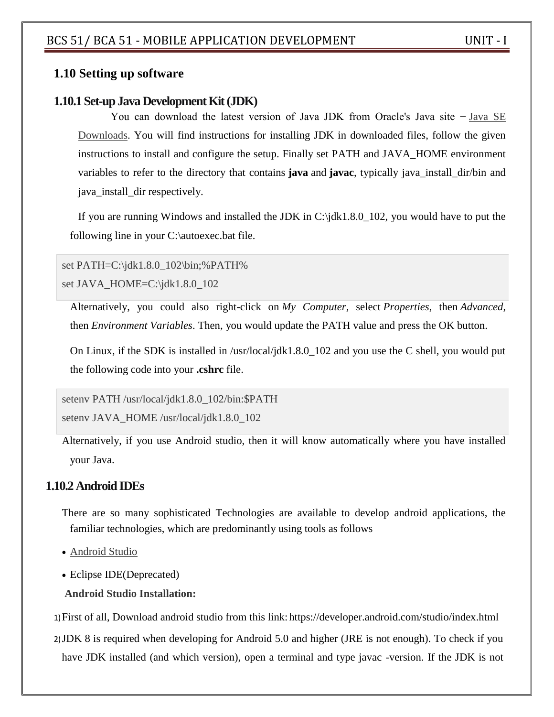## **1.10 Setting up software**

## **1.10.1 Set-up Java Development Kit (JDK)**

You can download the latest version of Java JDK from Oracle's Java site − [Java SE](http://www.oracle.com/technetwork/java/javase/downloads/index.html)  [Downloads.](http://www.oracle.com/technetwork/java/javase/downloads/index.html) You will find instructions for installing JDK in downloaded files, follow the given instructions to install and configure the setup. Finally set PATH and JAVA\_HOME environment variables to refer to the directory that contains **java** and **javac**, typically java\_install\_dir/bin and java\_install\_dir respectively.

If you are running Windows and installed the JDK in C:\jdk1.8.0\_102, you would have to put the following line in your C:\autoexec.bat file.

set PATH=C:\jdk1.8.0\_102\bin;%PATH% set JAVA\_HOME=C:\jdk1.8.0\_102

Alternatively, you could also right-click on *My Computer*, select *Properties*, then *Advanced*, then *Environment Variables*. Then, you would update the PATH value and press the OK button.

On Linux, if the SDK is installed in /usr/local/jdk1.8.0\_102 and you use the C shell, you would put the following code into your **.cshrc** file.

setenv PATH /usr/local/jdk1.8.0\_102/bin:\$PATH

setenv JAVA\_HOME /usr/local/jdk1.8.0\_102

Alternatively, if you use Android studio, then it will know automatically where you have installed your Java.

## **1.10.2 Android IDEs**

- There are so many sophisticated Technologies are available to develop android applications, the familiar technologies, which are predominantly using tools as follows
- [Android Studio](https://www.tutorialspoint.com/android/android_studio.htm)
- Eclipse IDE(Deprecated)
- **Android Studio Installation:**

1)First of all, Download android studio from this link: https://developer.android.com/studio/index.html

2)JDK 8 is required when developing for Android 5.0 and higher (JRE is not enough). To check if you have JDK installed (and which version), open a terminal and type javac -version. If the JDK is not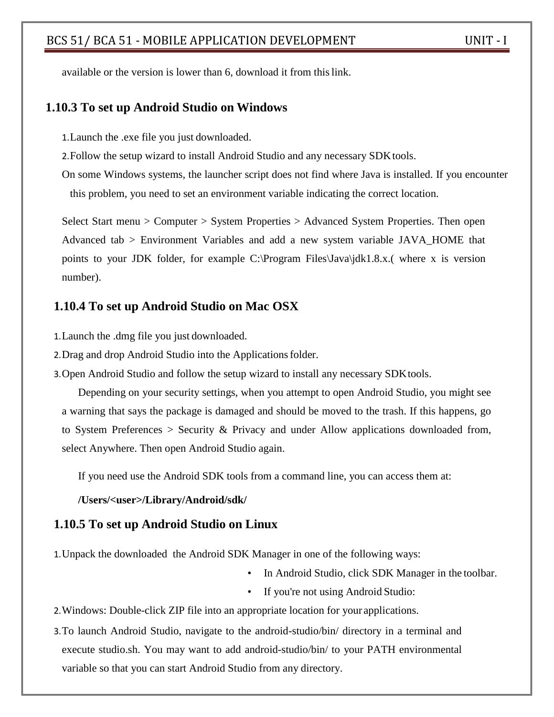available or the version is lower than 6, download it from this link.

#### **1.10.3 To set up Android Studio on Windows**

1.Launch the .exe file you just downloaded.

2. Follow the setup wizard to install Android Studio and any necessary SDK tools.

On some Windows systems, the launcher script does not find where Java is installed. If you encounter this problem, you need to set an environment variable indicating the correct location.

Select Start menu > Computer > System Properties > Advanced System Properties. Then open Advanced tab > Environment Variables and add a new system variable JAVA\_HOME that points to your JDK folder, for example C:\Program Files\Java\jdk1.8.x.( where x is version number).

#### **1.10.4 To set up Android Studio on Mac OSX**

1.Launch the .dmg file you just downloaded.

2.Drag and drop Android Studio into the Applicationsfolder.

3.Open Android Studio and follow the setup wizard to install any necessary SDKtools.

Depending on your security settings, when you attempt to open Android Studio, you might see a warning that says the package is damaged and should be moved to the trash. If this happens, go to System Preferences > Security & Privacy and under Allow applications downloaded from, select Anywhere. Then open Android Studio again.

If you need use the Android SDK tools from a command line, you can access them at:

#### **/Users/<user>/Library/Android/sdk/**

#### **1.10.5 To set up Android Studio on Linux**

1.Unpack the downloaded the Android SDK Manager in one of the following ways:

- In Android Studio, click SDK Manager in the toolbar.
- If you're not using Android Studio:

2.Windows: Double-click ZIP file into an appropriate location for your applications.

3.To launch Android Studio, navigate to the android-studio/bin/ directory in a terminal and execute studio.sh. You may want to add android-studio/bin/ to your PATH environmental variable so that you can start Android Studio from any directory.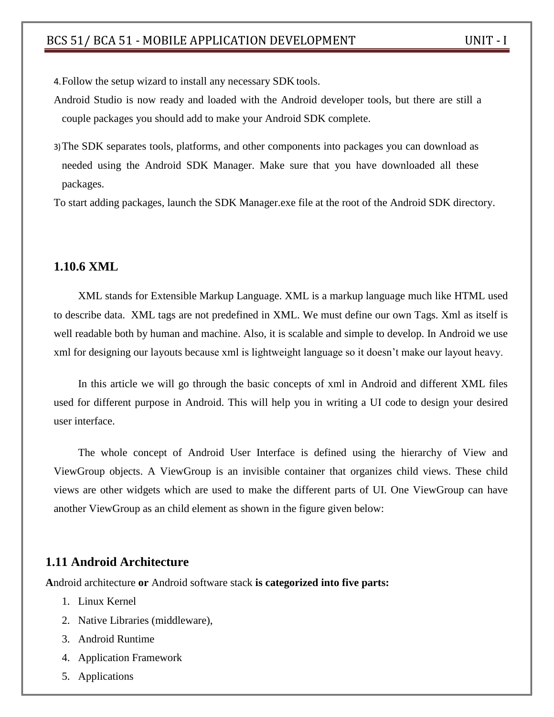4.Follow the setup wizard to install any necessary SDK tools.

- Android Studio is now ready and loaded with the Android developer tools, but there are still a couple packages you should add to make your Android SDK complete.
- 3)The SDK separates tools, platforms, and other components into packages you can download as needed using the Android SDK Manager. Make sure that you have downloaded all these packages.

To start adding packages, launch the SDK Manager.exe file at the root of the Android SDK directory.

#### **1.10.6 XML**

[XML](https://abhiandroid.com/ui/xml/) stands for Extensible Markup Language. [XML](https://abhiandroid.com/ui/xml/) is a markup language much like [HTML](https://abhiandroid.com/ui/html/) used to describe data. [XML](https://abhiandroid.com/ui/xml/) tags are not predefined in XML. We must define our own Tags. Xml as itself is well readable both by human and machine. Also, it is scalable and simple to develop. In Android we use xml for designing our layouts because xml is lightweight language so it doesn't make our layout heavy.

In this article we will go through the basic concepts of xml in Android and different XML files used for different purpose in Android. This will help you in writing a UI code to design your desired user interface.

The whole concept of [Android User Interface](https://abhiandroid.com/ui/) is defined using the hierarchy of View and ViewGroup objects. A ViewGroup is an invisible container that organizes child views. These child views are other widgets which are used to make the different parts of UI. One ViewGroup can have another ViewGroup as an child element as shown in the figure given below:

## **1.11 Android Architecture**

**A**ndroid architecture **or** Android software stack **is categorized into five parts:**

- 1. Linux Kernel
- 2. Native Libraries (middleware),
- 3. Android Runtime
- 4. Application Framework
- 5. Applications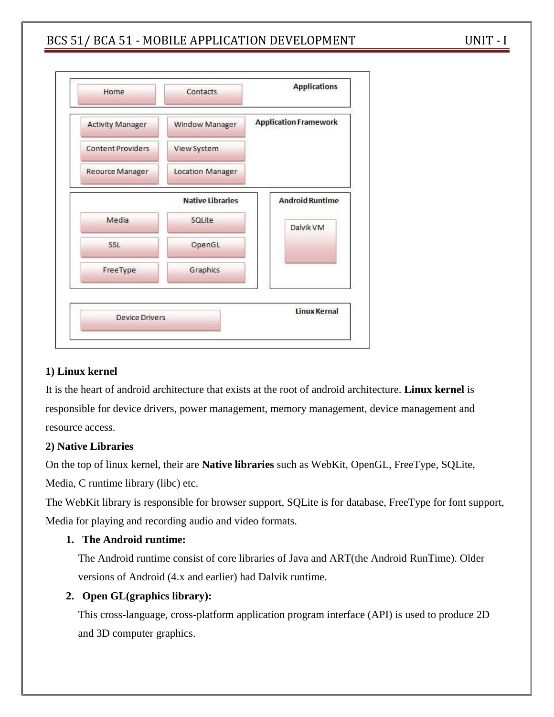

#### **1) Linux kernel**

It is the heart of android architecture that exists at the root of android architecture. **Linux kernel** is responsible for device drivers, power management, memory management, device management and resource access.

#### **2) Native Libraries**

On the top of linux kernel, their are **Native libraries** such as WebKit, OpenGL, FreeType, SQLite, Media, C runtime library (libc) etc.

The WebKit library is responsible for browser support, SQLite is for database, FreeType for font support, Media for playing and recording audio and video formats.

## **1. The Android runtime:**

The Android runtime consist of core libraries of Java and ART(the Android RunTime). Older versions of Android (4.x and earlier) had Dalvik runtime.

## **2. Open GL(graphics library):**

This cross-language, cross-platform application program interface (API) is used to produce 2D and 3D computer graphics.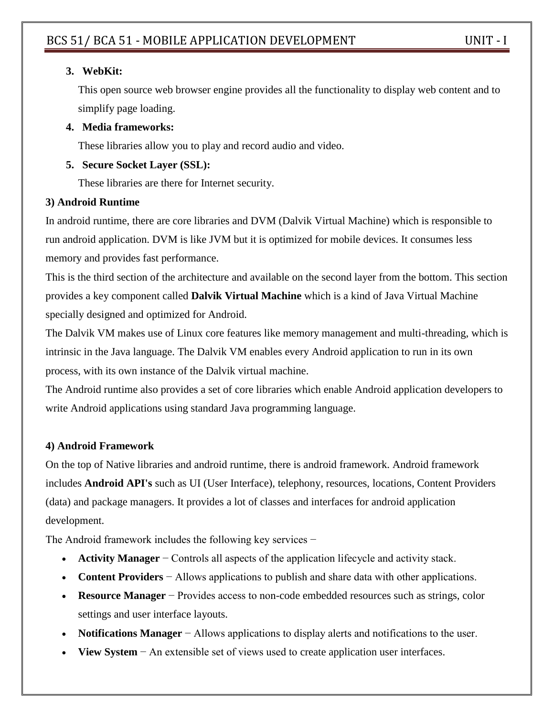## **3. WebKit:**

This open source web browser engine provides all the functionality to display web content and to simplify page loading.

## **4. Media frameworks:**

These libraries allow you to play and record audio and video.

## **5. Secure Socket Layer (SSL):**

These libraries are there for Internet security.

## **3) Android Runtime**

In android runtime, there are core libraries and DVM (Dalvik Virtual Machine) which is responsible to run android application. DVM is like JVM but it is optimized for mobile devices. It consumes less memory and provides fast performance.

This is the third section of the architecture and available on the second layer from the bottom. This section provides a key component called **Dalvik Virtual Machine** which is a kind of Java Virtual Machine specially designed and optimized for Android.

The Dalvik VM makes use of Linux core features like memory management and multi-threading, which is intrinsic in the Java language. The Dalvik VM enables every Android application to run in its own process, with its own instance of the Dalvik virtual machine.

The Android runtime also provides a set of core libraries which enable Android application developers to write Android applications using standard Java programming language.

# **4) Android Framework**

On the top of Native libraries and android runtime, there is android framework. Android framework includes **Android API's** such as UI (User Interface), telephony, resources, locations, Content Providers (data) and package managers. It provides a lot of classes and interfaces for android application development.

The Android framework includes the following key services −

- **Activity Manager** − Controls all aspects of the application lifecycle and activity stack.
- **Content Providers** − Allows applications to publish and share data with other applications.
- **Resource Manager** − Provides access to non-code embedded resources such as strings, color settings and user interface layouts.
- **Notifications Manager** − Allows applications to display alerts and notifications to the user.
- **View System** − An extensible set of views used to create application user interfaces.